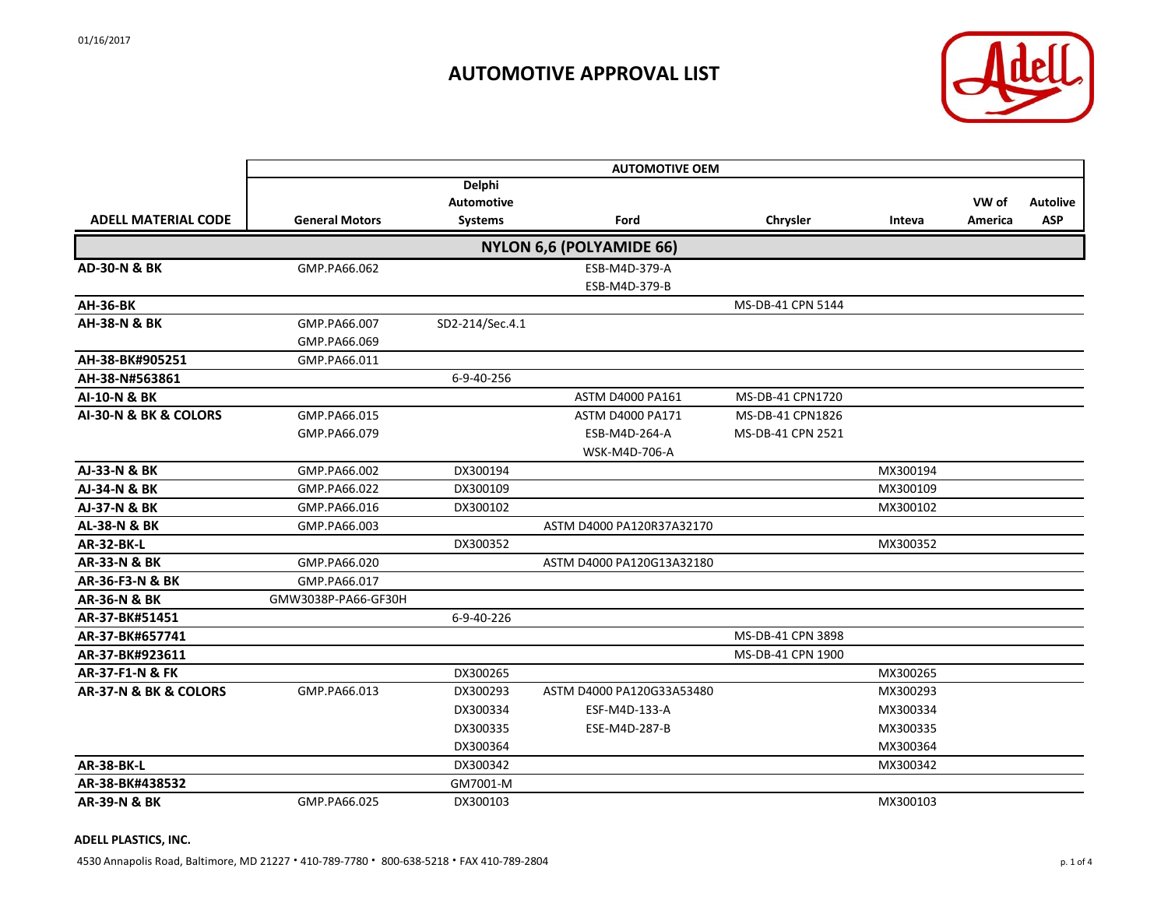

|                            | <b>AUTOMOTIVE OEM</b> |                                                      |                                 |                   |          |                  |                               |  |
|----------------------------|-----------------------|------------------------------------------------------|---------------------------------|-------------------|----------|------------------|-------------------------------|--|
| <b>ADELL MATERIAL CODE</b> | <b>General Motors</b> | <b>Delphi</b><br><b>Automotive</b><br><b>Systems</b> | Ford                            | Chrysler          | Inteva   | VW of<br>America | <b>Autolive</b><br><b>ASP</b> |  |
|                            |                       |                                                      | <b>NYLON 6,6 (POLYAMIDE 66)</b> |                   |          |                  |                               |  |
| <b>AD-30-N &amp; BK</b>    | GMP.PA66.062          |                                                      | ESB-M4D-379-A                   |                   |          |                  |                               |  |
|                            |                       |                                                      | ESB-M4D-379-B                   |                   |          |                  |                               |  |
| <b>AH-36-BK</b>            |                       |                                                      |                                 | MS-DB-41 CPN 5144 |          |                  |                               |  |
| <b>AH-38-N &amp; BK</b>    | GMP.PA66.007          | SD2-214/Sec.4.1                                      |                                 |                   |          |                  |                               |  |
|                            | GMP.PA66.069          |                                                      |                                 |                   |          |                  |                               |  |
| AH-38-BK#905251            | GMP.PA66.011          |                                                      |                                 |                   |          |                  |                               |  |
| AH-38-N#563861             |                       | 6-9-40-256                                           |                                 |                   |          |                  |                               |  |
| AI-10-N & BK               |                       |                                                      | ASTM D4000 PA161                | MS-DB-41 CPN1720  |          |                  |                               |  |
| AI-30-N & BK & COLORS      | GMP.PA66.015          |                                                      | <b>ASTM D4000 PA171</b>         | MS-DB-41 CPN1826  |          |                  |                               |  |
|                            | GMP.PA66.079          |                                                      | ESB-M4D-264-A                   | MS-DB-41 CPN 2521 |          |                  |                               |  |
|                            |                       |                                                      | WSK-M4D-706-A                   |                   |          |                  |                               |  |
| AJ-33-N & BK               | GMP.PA66.002          | DX300194                                             |                                 |                   | MX300194 |                  |                               |  |
| AJ-34-N & BK               | GMP.PA66.022          | DX300109                                             |                                 |                   | MX300109 |                  |                               |  |
| AJ-37-N & BK               | GMP.PA66.016          | DX300102                                             |                                 |                   | MX300102 |                  |                               |  |
| <b>AL-38-N &amp; BK</b>    | GMP.PA66.003          |                                                      | ASTM D4000 PA120R37A32170       |                   |          |                  |                               |  |
| <b>AR-32-BK-L</b>          |                       | DX300352                                             |                                 |                   | MX300352 |                  |                               |  |
| <b>AR-33-N &amp; BK</b>    | GMP.PA66.020          |                                                      | ASTM D4000 PA120G13A32180       |                   |          |                  |                               |  |
| AR-36-F3-N & BK            | GMP.PA66.017          |                                                      |                                 |                   |          |                  |                               |  |
| <b>AR-36-N &amp; BK</b>    | GMW3038P-PA66-GF30H   |                                                      |                                 |                   |          |                  |                               |  |
| AR-37-BK#51451             |                       | 6-9-40-226                                           |                                 |                   |          |                  |                               |  |
| AR-37-BK#657741            |                       |                                                      |                                 | MS-DB-41 CPN 3898 |          |                  |                               |  |
| AR-37-BK#923611            |                       |                                                      |                                 | MS-DB-41 CPN 1900 |          |                  |                               |  |
| AR-37-F1-N & FK            |                       | DX300265                                             |                                 |                   | MX300265 |                  |                               |  |
| AR-37-N & BK & COLORS      | GMP.PA66.013          | DX300293                                             | ASTM D4000 PA120G33A53480       |                   | MX300293 |                  |                               |  |
|                            |                       | DX300334                                             | ESF-M4D-133-A                   |                   | MX300334 |                  |                               |  |
|                            |                       | DX300335                                             | ESE-M4D-287-B                   |                   | MX300335 |                  |                               |  |
|                            |                       | DX300364                                             |                                 |                   | MX300364 |                  |                               |  |
| <b>AR-38-BK-L</b>          |                       | DX300342                                             |                                 |                   | MX300342 |                  |                               |  |
| AR-38-BK#438532            |                       | GM7001-M                                             |                                 |                   |          |                  |                               |  |
| <b>AR-39-N &amp; BK</b>    | GMP.PA66.025          | DX300103                                             |                                 |                   | MX300103 |                  |                               |  |

#### **ADELL PLASTICS, INC.**

4530 Annapolis Road, Baltimore, MD 21227 **·** 410-789-7780 **·** 800-638-5218 **·** FAX 410-789-2804 p. 1 of 4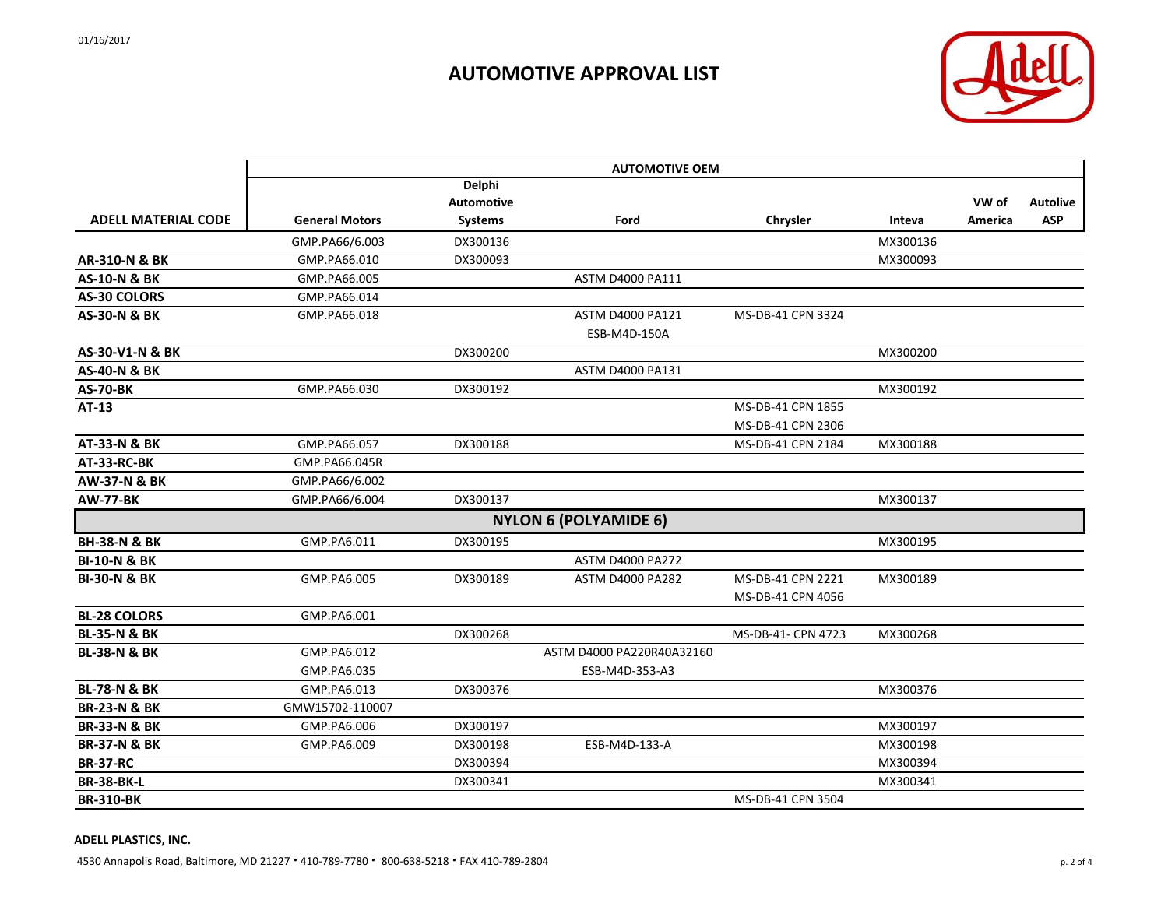

|                            | <b>AUTOMOTIVE OEM</b> |                   |                              |                    |          |         |                 |
|----------------------------|-----------------------|-------------------|------------------------------|--------------------|----------|---------|-----------------|
|                            |                       | <b>Delphi</b>     |                              |                    |          |         |                 |
|                            |                       | <b>Automotive</b> |                              |                    |          | VW of   | <b>Autolive</b> |
| <b>ADELL MATERIAL CODE</b> | <b>General Motors</b> | <b>Systems</b>    | Ford                         | Chrysler           | Inteva   | America | <b>ASP</b>      |
|                            | GMP.PA66/6.003        | DX300136          |                              |                    | MX300136 |         |                 |
| <b>AR-310-N &amp; BK</b>   | GMP.PA66.010          | DX300093          |                              |                    | MX300093 |         |                 |
| <b>AS-10-N &amp; BK</b>    | GMP.PA66.005          |                   | ASTM D4000 PA111             |                    |          |         |                 |
| <b>AS-30 COLORS</b>        | GMP.PA66.014          |                   |                              |                    |          |         |                 |
| <b>AS-30-N &amp; BK</b>    | GMP.PA66.018          |                   | ASTM D4000 PA121             | MS-DB-41 CPN 3324  |          |         |                 |
|                            |                       |                   | ESB-M4D-150A                 |                    |          |         |                 |
| AS-30-V1-N & BK            |                       | DX300200          |                              |                    | MX300200 |         |                 |
| <b>AS-40-N &amp; BK</b>    |                       |                   | ASTM D4000 PA131             |                    |          |         |                 |
| <b>AS-70-BK</b>            | GMP.PA66.030          | DX300192          |                              |                    | MX300192 |         |                 |
| AT-13                      |                       |                   |                              | MS-DB-41 CPN 1855  |          |         |                 |
|                            |                       |                   |                              | MS-DB-41 CPN 2306  |          |         |                 |
| AT-33-N & BK               | GMP.PA66.057          | DX300188          |                              | MS-DB-41 CPN 2184  | MX300188 |         |                 |
| AT-33-RC-BK                | GMP.PA66.045R         |                   |                              |                    |          |         |                 |
| <b>AW-37-N &amp; BK</b>    | GMP.PA66/6.002        |                   |                              |                    |          |         |                 |
| <b>AW-77-BK</b>            | GMP.PA66/6.004        | DX300137          |                              |                    | MX300137 |         |                 |
|                            |                       |                   | <b>NYLON 6 (POLYAMIDE 6)</b> |                    |          |         |                 |
| <b>BH-38-N &amp; BK</b>    | GMP.PA6.011           | DX300195          |                              |                    | MX300195 |         |                 |
| <b>BI-10-N &amp; BK</b>    |                       |                   | <b>ASTM D4000 PA272</b>      |                    |          |         |                 |
| <b>BI-30-N &amp; BK</b>    | GMP.PA6.005           | DX300189          | <b>ASTM D4000 PA282</b>      | MS-DB-41 CPN 2221  | MX300189 |         |                 |
|                            |                       |                   |                              | MS-DB-41 CPN 4056  |          |         |                 |
| <b>BL-28 COLORS</b>        | GMP.PA6.001           |                   |                              |                    |          |         |                 |
| <b>BL-35-N &amp; BK</b>    |                       | DX300268          |                              | MS-DB-41- CPN 4723 | MX300268 |         |                 |
| <b>BL-38-N &amp; BK</b>    | GMP.PA6.012           |                   | ASTM D4000 PA220R40A32160    |                    |          |         |                 |
|                            | GMP.PA6.035           |                   | ESB-M4D-353-A3               |                    |          |         |                 |
| <b>BL-78-N &amp; BK</b>    | GMP.PA6.013           | DX300376          |                              |                    | MX300376 |         |                 |
| <b>BR-23-N &amp; BK</b>    | GMW15702-110007       |                   |                              |                    |          |         |                 |
| <b>BR-33-N &amp; BK</b>    | GMP.PA6.006           | DX300197          |                              |                    | MX300197 |         |                 |
| <b>BR-37-N &amp; BK</b>    | GMP.PA6.009           | DX300198          | ESB-M4D-133-A                |                    | MX300198 |         |                 |
| <b>BR-37-RC</b>            |                       | DX300394          |                              |                    | MX300394 |         |                 |
| <b>BR-38-BK-L</b>          |                       | DX300341          |                              |                    | MX300341 |         |                 |
| <b>BR-310-BK</b>           |                       |                   |                              | MS-DB-41 CPN 3504  |          |         |                 |

#### **ADELL PLASTICS, INC.**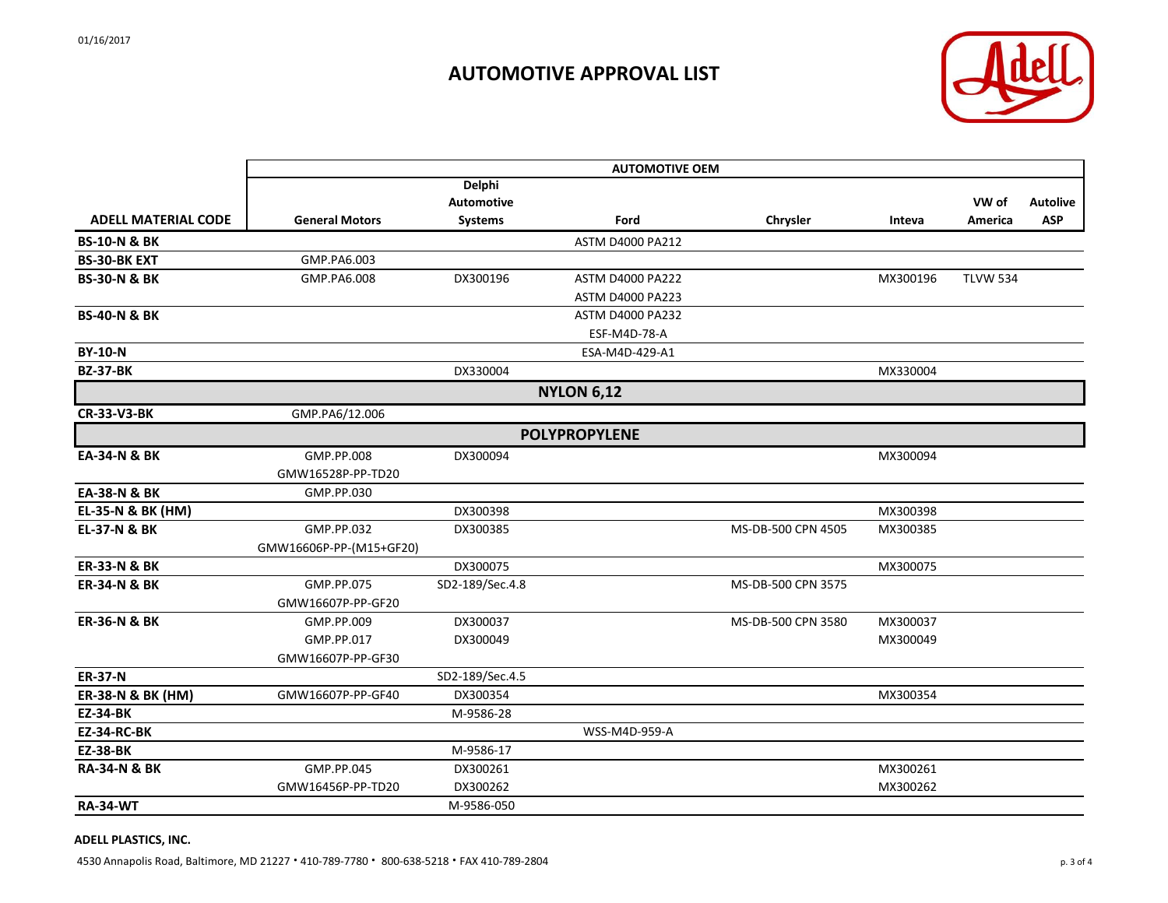

|                            | <b>AUTOMOTIVE OEM</b>   |                 |                         |                    |          |                 |                 |
|----------------------------|-------------------------|-----------------|-------------------------|--------------------|----------|-----------------|-----------------|
|                            |                         | <b>Delphi</b>   |                         |                    |          |                 |                 |
|                            |                         | Automotive      |                         |                    |          | VW of           | <b>Autolive</b> |
| <b>ADELL MATERIAL CODE</b> | <b>General Motors</b>   | <b>Systems</b>  | Ford                    | Chrysler           | Inteva   | America         | <b>ASP</b>      |
| <b>BS-10-N &amp; BK</b>    |                         |                 | <b>ASTM D4000 PA212</b> |                    |          |                 |                 |
| <b>BS-30-BK EXT</b>        | GMP.PA6.003             |                 |                         |                    |          |                 |                 |
| <b>BS-30-N &amp; BK</b>    | GMP.PA6.008             | DX300196        | <b>ASTM D4000 PA222</b> |                    | MX300196 | <b>TLVW 534</b> |                 |
|                            |                         |                 | <b>ASTM D4000 PA223</b> |                    |          |                 |                 |
| <b>BS-40-N &amp; BK</b>    |                         |                 | <b>ASTM D4000 PA232</b> |                    |          |                 |                 |
|                            |                         |                 | ESF-M4D-78-A            |                    |          |                 |                 |
| <b>BY-10-N</b>             |                         |                 | ESA-M4D-429-A1          |                    |          |                 |                 |
| <b>BZ-37-BK</b>            |                         | DX330004        |                         |                    | MX330004 |                 |                 |
|                            |                         |                 | <b>NYLON 6,12</b>       |                    |          |                 |                 |
| <b>CR-33-V3-BK</b>         | GMP.PA6/12.006          |                 |                         |                    |          |                 |                 |
|                            |                         |                 | <b>POLYPROPYLENE</b>    |                    |          |                 |                 |
| EA-34-N & BK               | GMP.PP.008              | DX300094        |                         |                    | MX300094 |                 |                 |
|                            | GMW16528P-PP-TD20       |                 |                         |                    |          |                 |                 |
| EA-38-N & BK               | GMP.PP.030              |                 |                         |                    |          |                 |                 |
| EL-35-N & BK (HM)          |                         | DX300398        |                         |                    | MX300398 |                 |                 |
| <b>EL-37-N &amp; BK</b>    | GMP.PP.032              | DX300385        |                         | MS-DB-500 CPN 4505 | MX300385 |                 |                 |
|                            | GMW16606P-PP-(M15+GF20) |                 |                         |                    |          |                 |                 |
| <b>ER-33-N &amp; BK</b>    |                         | DX300075        |                         |                    | MX300075 |                 |                 |
| <b>ER-34-N &amp; BK</b>    | GMP.PP.075              | SD2-189/Sec.4.8 |                         | MS-DB-500 CPN 3575 |          |                 |                 |
|                            | GMW16607P-PP-GF20       |                 |                         |                    |          |                 |                 |
| <b>ER-36-N &amp; BK</b>    | GMP.PP.009              | DX300037        |                         | MS-DB-500 CPN 3580 | MX300037 |                 |                 |
|                            | GMP.PP.017              | DX300049        |                         |                    | MX300049 |                 |                 |
|                            | GMW16607P-PP-GF30       |                 |                         |                    |          |                 |                 |
| <b>ER-37-N</b>             |                         | SD2-189/Sec.4.5 |                         |                    |          |                 |                 |
| ER-38-N & BK (HM)          | GMW16607P-PP-GF40       | DX300354        |                         |                    | MX300354 |                 |                 |
| <b>EZ-34-BK</b>            |                         | M-9586-28       |                         |                    |          |                 |                 |
| <b>EZ-34-RC-BK</b>         |                         |                 | WSS-M4D-959-A           |                    |          |                 |                 |
| <b>EZ-38-BK</b>            |                         | M-9586-17       |                         |                    |          |                 |                 |
| <b>RA-34-N &amp; BK</b>    | GMP.PP.045              | DX300261        |                         |                    | MX300261 |                 |                 |
|                            | GMW16456P-PP-TD20       | DX300262        |                         |                    | MX300262 |                 |                 |
| <b>RA-34-WT</b>            |                         | M-9586-050      |                         |                    |          |                 |                 |
|                            |                         |                 |                         |                    |          |                 |                 |

#### **ADELL PLASTICS, INC.**